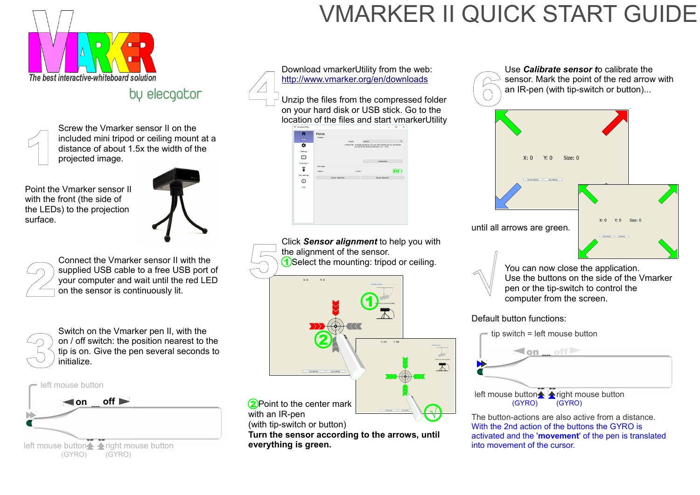Screw the Vmarker sensor II on the included mini tripod or ceiling mount at a distance of about 1.5x the width of the projected image.

Point the Vmarker sensor II with the front (the side of the LEDs) to the projection surface.



Connect the Vmarker sensor II with the supplied USB cable to a free USB port of your computer and wait until the red LED on the sensor is continuously lit.

Switch on the Vmarker pen II, with the on / off switch: the position nearest to the tip is on. Give the pen several seconds to initialize.

Download vmarkerUtility from the web: <http://www.vmarker.org/en/downloads>

> left mouse buttonA Aright mouse button (GYRO) (GYRO)





Unzip the files from the compressed folder on your hard disk or USB stick. Go to the location of the files and start vmarkerUtility 4

| Home                 | Presets              | Preset:            |         | LEVEL3                                                                                                                   | $\blacktriangledown$ |
|----------------------|----------------------|--------------------|---------|--------------------------------------------------------------------------------------------------------------------------|----------------------|
| ☆<br><b>Settings</b> |                      |                    |         | Preset info: Average sensitivity, for use with Vmarker pen II, and sensor<br>put at normal distance between: 2.5 - 3.5m. |                      |
| ⊡<br>Calibration     |                      |                    |         | Load preset                                                                                                              |                      |
| î                    | Pen state<br>Battery |                    | 2.799 V |                                                                                                                          | m                    |
| Pen settings<br>ن    |                      | Sensor calibration |         | Sensor alignment                                                                                                         |                      |
| Info                 |                      |                    |         |                                                                                                                          |                      |
|                      |                      |                    |         |                                                                                                                          |                      |
|                      |                      |                    |         |                                                                                                                          |                      |

You can now close the application. Use the buttons on the side of the Vmarker pen or the tip-switch to control the computer from the screen.

The button-actions are also active from a distance. With the 2nd action of the buttons the GYRO is activated and the '**movement**' of the pen is translated into movement of the cursor.



### VMARKER II QUICK START GUIDE

by elecgator









### Default button functions:



on off

tip switch = left mouse button

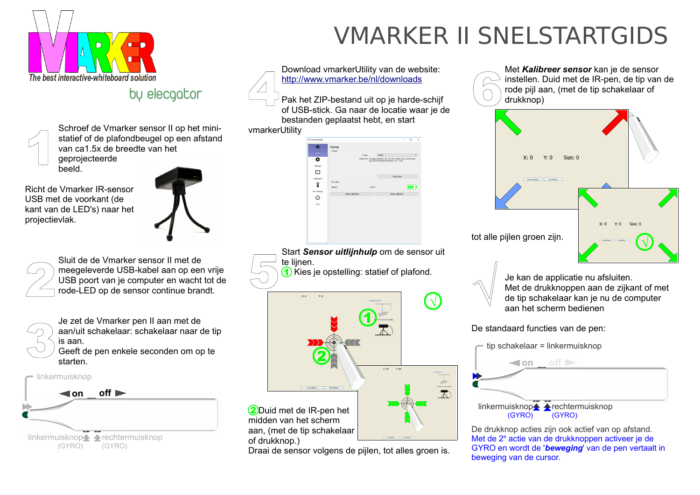Schroef de Vmarker sensor II op het ministatief of de plafondbeugel op een afstand van ca1.5x de breedte van het geprojecteerde beeld.

Sluit de de Vmarker sensor II met de meegeleverde USB-kabel aan op een vrije USB poort van je computer en wacht tot de rode-LED op de sensor continue brandt. Sluit de de Vmarker sensor II met de<br>
meegeleverde USB-kabel aan op een vrije<br>
USB poort van je computer en wacht tot de<br>
rode-LED op de sensor continue brandt.

Richt de Vmarker IR-sensor USB met de voorkant (de kant van de LED's) naar het projectievlak.





Start *Sensor uitlijnhulp* om de sensor uit te lijnen. 1) Kies je opstelling: statief of plafond.

 $x \cdot n$  $\vee$  0  $\overline{\mathbf{1}}$ 2  $V_1$  one.

Je zet de Vmarker pen II aan met de aan/uit schakelaar: schakelaar naar de tip is aan.

> 2Duid met de IR-pen het midden van het scherm aan, (met de tip schakelaar of drukknop.)

Geeft de pen enkele seconden om op te starten.

Download vmarkerUtility van de website: <http://www.vmarker.be/nl/downloads>

vmarkerUtility

| <b>MA:</b> VmarkerUtility |                |                    |         |                                                                           |                  | $\Box$ | $\times$ |
|---------------------------|----------------|--------------------|---------|---------------------------------------------------------------------------|------------------|--------|----------|
|                           | Home           |                    |         |                                                                           |                  |        |          |
|                           | Presets        |                    |         |                                                                           |                  |        |          |
| [Home]                    |                | Preset:            |         | LEVEL3                                                                    |                  |        | ٠        |
|                           |                |                    |         | Preset info: Average sensitivity, for use with Vmarker pen II, and sensor |                  |        |          |
| o                         |                |                    |         | put at normal distance between; 2.5 - 3.5m.                               |                  |        |          |
| <b>Settings</b>           |                |                    |         |                                                                           |                  |        |          |
|                           |                |                    |         |                                                                           |                  |        |          |
| 囨                         |                |                    |         |                                                                           |                  |        |          |
|                           |                |                    |         |                                                                           | Load preset      |        |          |
| Calibration               | Pen state      |                    |         |                                                                           |                  |        |          |
| â                         |                |                    |         |                                                                           |                  |        |          |
|                           | <b>Battery</b> |                    | 2.799 V |                                                                           |                  | m      |          |
| Pen settings              |                |                    |         |                                                                           |                  |        |          |
|                           |                | Sensor calibration |         |                                                                           | Sensor alignment |        |          |
| ÷                         |                |                    |         |                                                                           |                  |        |          |
| Info                      |                |                    |         |                                                                           |                  |        |          |
|                           |                |                    |         |                                                                           |                  |        |          |
|                           |                |                    |         |                                                                           |                  |        |          |
|                           |                |                    |         |                                                                           |                  |        |          |
|                           |                |                    |         |                                                                           |                  |        |          |
|                           |                |                    |         |                                                                           |                  |        |          |
|                           |                |                    |         |                                                                           |                  |        |          |
|                           |                |                    |         |                                                                           |                  |        |          |

linkermuisknopA Arechtermuisknop (GYRO)

Draai de sensor volgens de pijlen, tot alles groen is.

Pak het ZIP-bestand uit op je harde-schijf of USB-stick. Ga naar de locatie waar je de bestanden geplaatst hebt, en start 4

> Je kan de applicatie nu afsluiten. Met de drukknoppen aan de zijkant of met de tip schakelaar kan je nu de computer aan het scherm bedienen



De standaard functies van de pen:

De drukknop acties zijn ook actief van op afstand. Met de 2<sup>e</sup> actie van de drukknoppen activeer je de GYRO en wordt de '*beweging*' van de pen vertaalt in beweging van de cursor.



## VMARKER II SNELSTARTGIDS

by elecgator











√



(GYRO)

tip schakelaar = linkermuisknop

**on off**